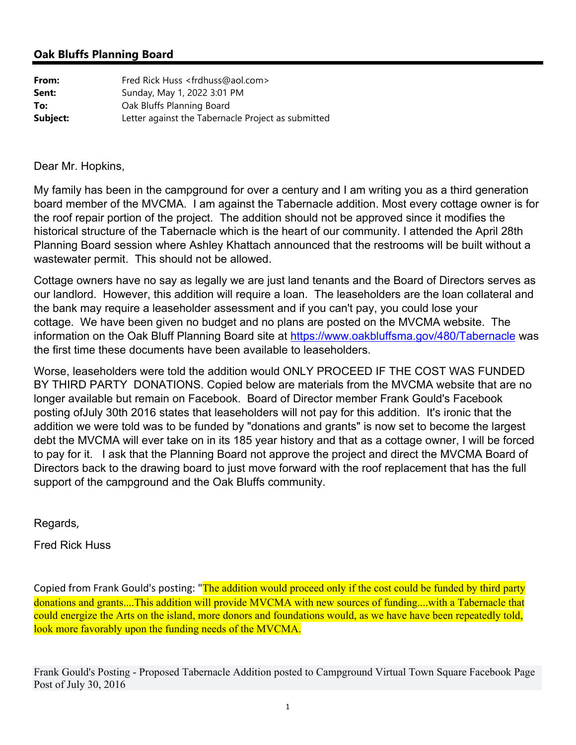# **Oak Bluffs Planning Board**

| From:    | Fred Rick Huss <frdhuss@aol.com></frdhuss@aol.com> |
|----------|----------------------------------------------------|
| Sent:    | Sunday, May 1, 2022 3:01 PM                        |
| To:      | Oak Bluffs Planning Board                          |
| Subject: | Letter against the Tabernacle Project as submitted |

Dear Mr. Hopkins,

My family has been in the campground for over a century and I am writing you as a third generation board member of the MVCMA. I am against the Tabernacle addition. Most every cottage owner is for the roof repair portion of the project. The addition should not be approved since it modifies the historical structure of the Tabernacle which is the heart of our community. I attended the April 28th Planning Board session where Ashley Khattach announced that the restrooms will be built without a wastewater permit. This should not be allowed.

Cottage owners have no say as legally we are just land tenants and the Board of Directors serves as our landlord. However, this addition will require a loan. The leaseholders are the loan collateral and the bank may require a leaseholder assessment and if you can't pay, you could lose your cottage. We have been given no budget and no plans are posted on the MVCMA website. The information on the Oak Bluff Planning Board site at https://www.oakbluffsma.gov/480/Tabernacle was the first time these documents have been available to leaseholders.

Worse, leaseholders were told the addition would ONLY PROCEED IF THE COST WAS FUNDED BY THIRD PARTY DONATIONS. Copied below are materials from the MVCMA website that are no longer available but remain on Facebook. Board of Director member Frank Gould's Facebook posting ofJuly 30th 2016 states that leaseholders will not pay for this addition. It's ironic that the addition we were told was to be funded by "donations and grants" is now set to become the largest debt the MVCMA will ever take on in its 185 year history and that as a cottage owner, I will be forced to pay for it. I ask that the Planning Board not approve the project and direct the MVCMA Board of Directors back to the drawing board to just move forward with the roof replacement that has the full support of the campground and the Oak Bluffs community.

Regards,

Fred Rick Huss

Copied from Frank Gould's posting: "The addition would proceed only if the cost could be funded by third party donations and grants....This addition will provide MVCMA with new sources of funding....with a Tabernacle that could energize the Arts on the island, more donors and foundations would, as we have have been repeatedly told, look more favorably upon the funding needs of the MVCMA.

Frank Gould's Posting - Proposed Tabernacle Addition posted to Campground Virtual Town Square Facebook Page Post of July 30, 2016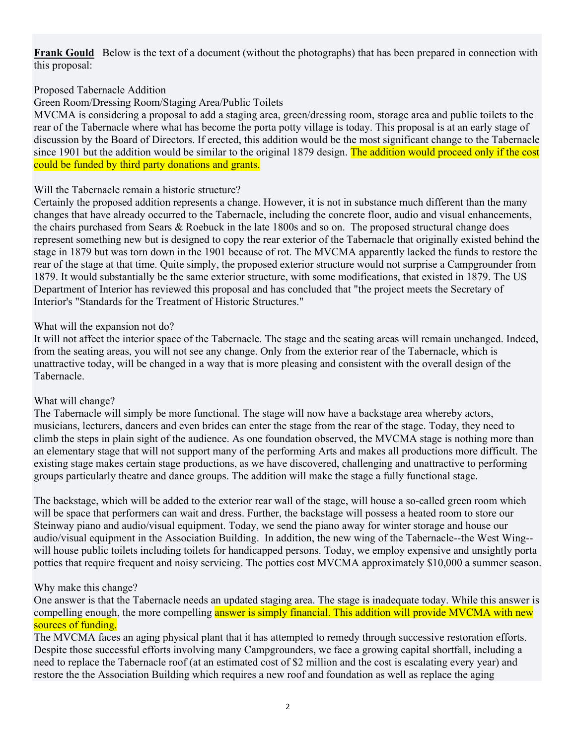**Frank Gould** Below is the text of a document (without the photographs) that has been prepared in connection with this proposal:

## Proposed Tabernacle Addition

Green Room/Dressing Room/Staging Area/Public Toilets

MVCMA is considering a proposal to add a staging area, green/dressing room, storage area and public toilets to the rear of the Tabernacle where what has become the porta potty village is today. This proposal is at an early stage of discussion by the Board of Directors. If erected, this addition would be the most significant change to the Tabernacle since 1901 but the addition would be similar to the original 1879 design. The addition would proceed only if the cost could be funded by third party donations and grants.

#### Will the Tabernacle remain a historic structure?

Certainly the proposed addition represents a change. However, it is not in substance much different than the many changes that have already occurred to the Tabernacle, including the concrete floor, audio and visual enhancements, the chairs purchased from Sears & Roebuck in the late 1800s and so on. The proposed structural change does represent something new but is designed to copy the rear exterior of the Tabernacle that originally existed behind the stage in 1879 but was torn down in the 1901 because of rot. The MVCMA apparently lacked the funds to restore the rear of the stage at that time. Quite simply, the proposed exterior structure would not surprise a Campgrounder from 1879. It would substantially be the same exterior structure, with some modifications, that existed in 1879. The US Department of Interior has reviewed this proposal and has concluded that "the project meets the Secretary of Interior's "Standards for the Treatment of Historic Structures."

### What will the expansion not do?

It will not affect the interior space of the Tabernacle. The stage and the seating areas will remain unchanged. Indeed, from the seating areas, you will not see any change. Only from the exterior rear of the Tabernacle, which is unattractive today, will be changed in a way that is more pleasing and consistent with the overall design of the Tabernacle.

#### What will change?

The Tabernacle will simply be more functional. The stage will now have a backstage area whereby actors, musicians, lecturers, dancers and even brides can enter the stage from the rear of the stage. Today, they need to climb the steps in plain sight of the audience. As one foundation observed, the MVCMA stage is nothing more than an elementary stage that will not support many of the performing Arts and makes all productions more difficult. The existing stage makes certain stage productions, as we have discovered, challenging and unattractive to performing groups particularly theatre and dance groups. The addition will make the stage a fully functional stage.

The backstage, which will be added to the exterior rear wall of the stage, will house a so-called green room which will be space that performers can wait and dress. Further, the backstage will possess a heated room to store our Steinway piano and audio/visual equipment. Today, we send the piano away for winter storage and house our audio/visual equipment in the Association Building. In addition, the new wing of the Tabernacle--the West Wing- will house public toilets including toilets for handicapped persons. Today, we employ expensive and unsightly porta potties that require frequent and noisy servicing. The potties cost MVCMA approximately \$10,000 a summer season.

## Why make this change?

One answer is that the Tabernacle needs an updated staging area. The stage is inadequate today. While this answer is compelling enough, the more compelling answer is simply financial. This addition will provide MVCMA with new sources of funding.

The MVCMA faces an aging physical plant that it has attempted to remedy through successive restoration efforts. Despite those successful efforts involving many Campgrounders, we face a growing capital shortfall, including a need to replace the Tabernacle roof (at an estimated cost of \$2 million and the cost is escalating every year) and restore the the Association Building which requires a new roof and foundation as well as replace the aging